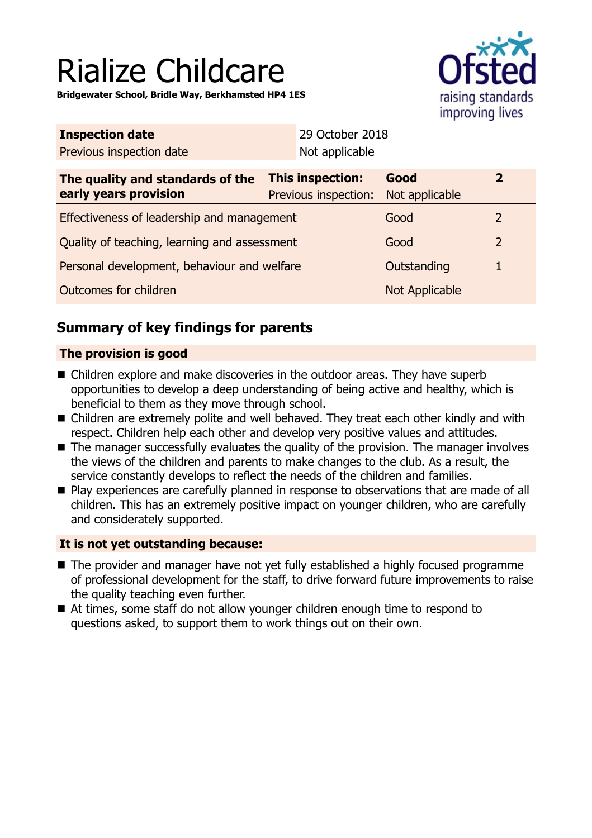# Rialize Childcare

raising standards improving lives

**Bridgewater School, Bridle Way, Berkhamsted HP4 1ES**

**Inspection date** 20 October 2018

| <b>THESPECTION NATE</b>                                   | 23 ULLUDCI 2010                                 |                        |                |
|-----------------------------------------------------------|-------------------------------------------------|------------------------|----------------|
| Previous inspection date                                  | Not applicable                                  |                        |                |
| The quality and standards of the<br>early years provision | <b>This inspection:</b><br>Previous inspection: | Good<br>Not applicable | $\overline{2}$ |
| Effectiveness of leadership and management                |                                                 | Good                   | 2              |
| Quality of teaching, learning and assessment              |                                                 | Good                   | $\overline{2}$ |
| Personal development, behaviour and welfare               |                                                 | Outstanding            |                |
| Outcomes for children                                     |                                                 | Not Applicable         |                |

# **Summary of key findings for parents**

# **The provision is good**

- Children explore and make discoveries in the outdoor areas. They have superb opportunities to develop a deep understanding of being active and healthy, which is beneficial to them as they move through school.
- Children are extremely polite and well behaved. They treat each other kindly and with respect. Children help each other and develop very positive values and attitudes.
- $\blacksquare$  The manager successfully evaluates the quality of the provision. The manager involves the views of the children and parents to make changes to the club. As a result, the service constantly develops to reflect the needs of the children and families.
- Play experiences are carefully planned in response to observations that are made of all children. This has an extremely positive impact on younger children, who are carefully and considerately supported.

# **It is not yet outstanding because:**

- $\blacksquare$  The provider and manager have not yet fully established a highly focused programme of professional development for the staff, to drive forward future improvements to raise the quality teaching even further.
- At times, some staff do not allow younger children enough time to respond to questions asked, to support them to work things out on their own.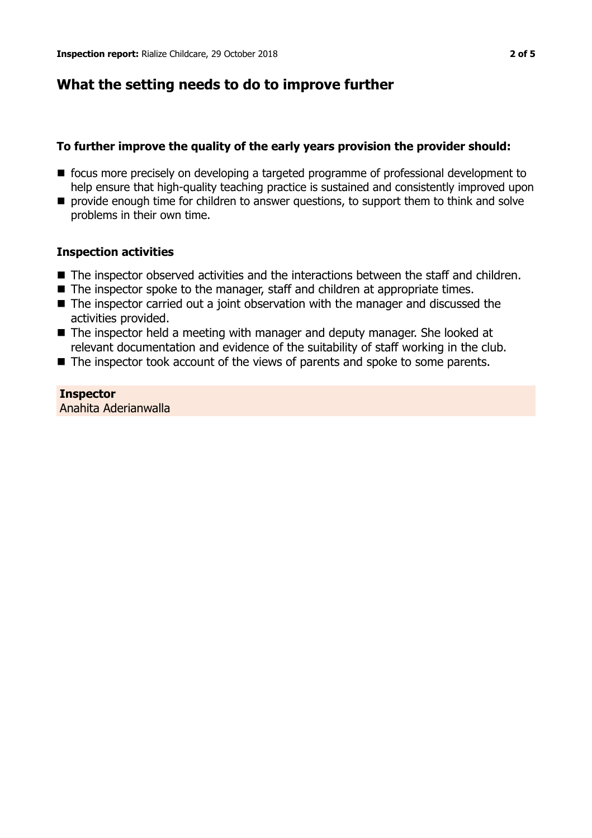# **What the setting needs to do to improve further**

# **To further improve the quality of the early years provision the provider should:**

- focus more precisely on developing a targeted programme of professional development to help ensure that high-quality teaching practice is sustained and consistently improved upon
- $\blacksquare$  provide enough time for children to answer questions, to support them to think and solve problems in their own time.

## **Inspection activities**

- The inspector observed activities and the interactions between the staff and children.
- $\blacksquare$  The inspector spoke to the manager, staff and children at appropriate times.
- $\blacksquare$  The inspector carried out a joint observation with the manager and discussed the activities provided.
- $\blacksquare$  The inspector held a meeting with manager and deputy manager. She looked at relevant documentation and evidence of the suitability of staff working in the club.
- $\blacksquare$  The inspector took account of the views of parents and spoke to some parents.

#### **Inspector** Anahita Aderianwalla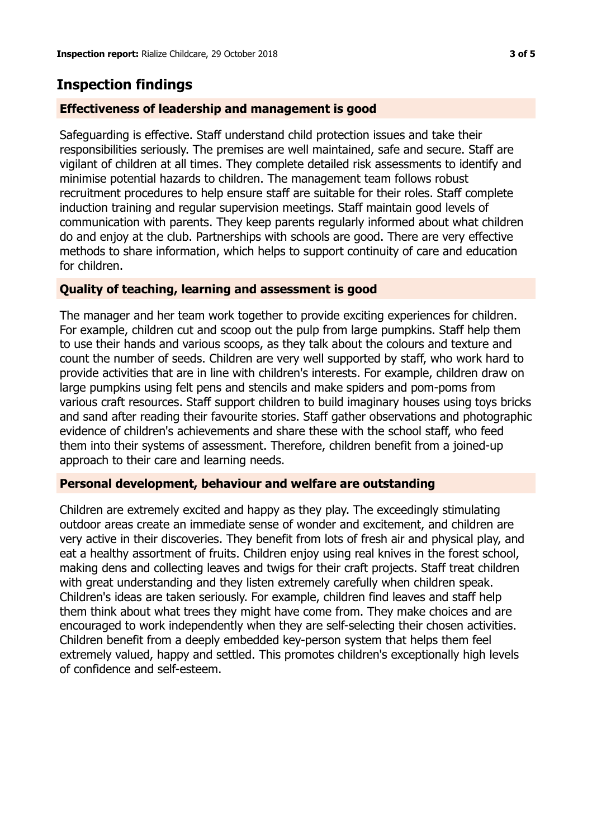# **Inspection findings**

## **Effectiveness of leadership and management is good**

Safeguarding is effective. Staff understand child protection issues and take their responsibilities seriously. The premises are well maintained, safe and secure. Staff are vigilant of children at all times. They complete detailed risk assessments to identify and minimise potential hazards to children. The management team follows robust recruitment procedures to help ensure staff are suitable for their roles. Staff complete induction training and regular supervision meetings. Staff maintain good levels of communication with parents. They keep parents regularly informed about what children do and enjoy at the club. Partnerships with schools are good. There are very effective methods to share information, which helps to support continuity of care and education for children.

# **Quality of teaching, learning and assessment is good**

The manager and her team work together to provide exciting experiences for children. For example, children cut and scoop out the pulp from large pumpkins. Staff help them to use their hands and various scoops, as they talk about the colours and texture and count the number of seeds. Children are very well supported by staff, who work hard to provide activities that are in line with children's interests. For example, children draw on large pumpkins using felt pens and stencils and make spiders and pom-poms from various craft resources. Staff support children to build imaginary houses using toys bricks and sand after reading their favourite stories. Staff gather observations and photographic evidence of children's achievements and share these with the school staff, who feed them into their systems of assessment. Therefore, children benefit from a joined-up approach to their care and learning needs.

## **Personal development, behaviour and welfare are outstanding**

Children are extremely excited and happy as they play. The exceedingly stimulating outdoor areas create an immediate sense of wonder and excitement, and children are very active in their discoveries. They benefit from lots of fresh air and physical play, and eat a healthy assortment of fruits. Children enjoy using real knives in the forest school, making dens and collecting leaves and twigs for their craft projects. Staff treat children with great understanding and they listen extremely carefully when children speak. Children's ideas are taken seriously. For example, children find leaves and staff help them think about what trees they might have come from. They make choices and are encouraged to work independently when they are self-selecting their chosen activities. Children benefit from a deeply embedded key-person system that helps them feel extremely valued, happy and settled. This promotes children's exceptionally high levels of confidence and self-esteem.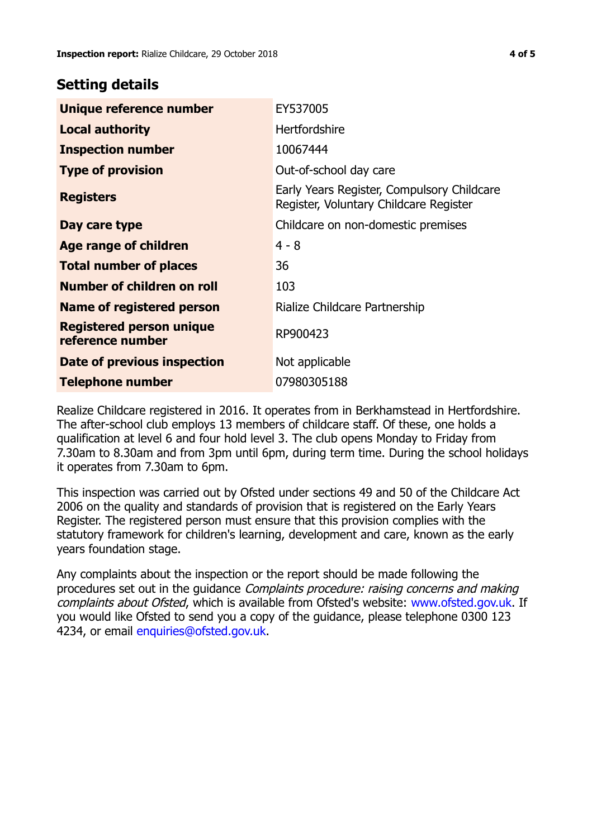# **Setting details**

| Unique reference number                             | EY537005                                                                             |  |
|-----------------------------------------------------|--------------------------------------------------------------------------------------|--|
| <b>Local authority</b>                              | <b>Hertfordshire</b>                                                                 |  |
| <b>Inspection number</b>                            | 10067444                                                                             |  |
| <b>Type of provision</b>                            | Out-of-school day care                                                               |  |
| <b>Registers</b>                                    | Early Years Register, Compulsory Childcare<br>Register, Voluntary Childcare Register |  |
| Day care type                                       | Childcare on non-domestic premises                                                   |  |
| Age range of children                               | $4 - 8$                                                                              |  |
| <b>Total number of places</b>                       | 36                                                                                   |  |
| Number of children on roll                          | 103                                                                                  |  |
| <b>Name of registered person</b>                    | Rialize Childcare Partnership                                                        |  |
| <b>Registered person unique</b><br>reference number | RP900423                                                                             |  |
| Date of previous inspection                         | Not applicable                                                                       |  |
| <b>Telephone number</b>                             | 07980305188                                                                          |  |

Realize Childcare registered in 2016. It operates from in Berkhamstead in Hertfordshire. The after-school club employs 13 members of childcare staff. Of these, one holds a qualification at level 6 and four hold level 3. The club opens Monday to Friday from 7.30am to 8.30am and from 3pm until 6pm, during term time. During the school holidays it operates from 7.30am to 6pm.

This inspection was carried out by Ofsted under sections 49 and 50 of the Childcare Act 2006 on the quality and standards of provision that is registered on the Early Years Register. The registered person must ensure that this provision complies with the statutory framework for children's learning, development and care, known as the early years foundation stage.

Any complaints about the inspection or the report should be made following the procedures set out in the guidance Complaints procedure: raising concerns and making complaints about Ofsted, which is available from Ofsted's website: www.ofsted.gov.uk. If you would like Ofsted to send you a copy of the guidance, please telephone 0300 123 4234, or email [enquiries@ofsted.gov.uk.](mailto:enquiries@ofsted.gov.uk)